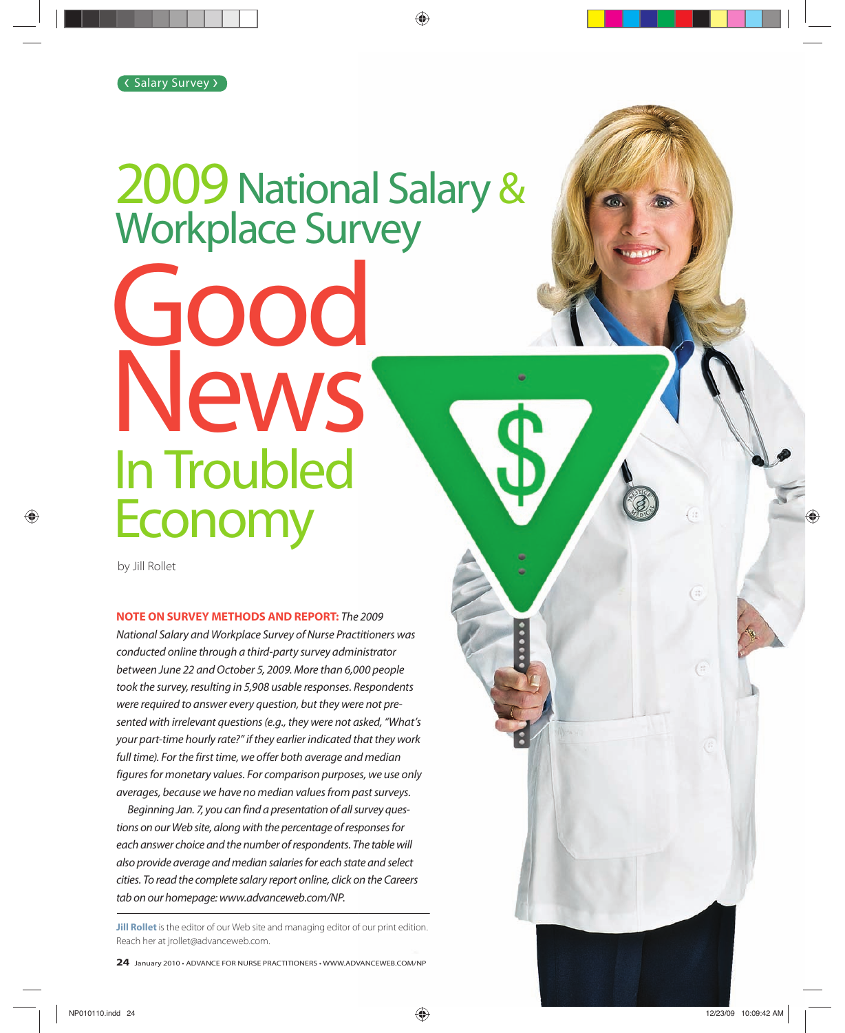# Good News 2009 National Salary & Workplace Survey In Troubled **Economy**

by Jill Rollet

**NOTE ON SURVEY METHODS AND REPORT:** The 2009 National Salary and Workplace Survey of Nurse Practitioners was conducted online through a third-party survey administrator between June 22 and October 5, 2009. More than 6,000 people took the survey, resulting in 5,908 usable responses. Respondents were required to answer every question, but they were not presented with irrelevant questions (e.g., they were not asked, "What's your part-time hourly rate?" if they earlier indicated that they work full time). For the first time, we offer both average and median figures for monetary values. For comparison purposes, we use only averages, because we have no median values from past surveys.

Beginning Jan. 7, you can find a presentation of all survey questions on our Web site, along with the percentage of responses for each answer choice and the number of respondents. The table will also provide average and median salaries for each state and select cities. To read the complete salary report online, click on the Careers tab on our homepage: www.advanceweb.com/NP.

**Jill Rollet** is the editor of our Web site and managing editor of our print edition.<br>Reach her at jrollet@advanceweb.com.<br>**24** January 2010 • ADVANCE FOR NURSE PRACTITIONERS • WWW.ADVANCEWEB.COM/NP **Jill Rollet** is the editor of our Web site and managing editor of our print edition. Reach her at jrollet@advanceweb.com.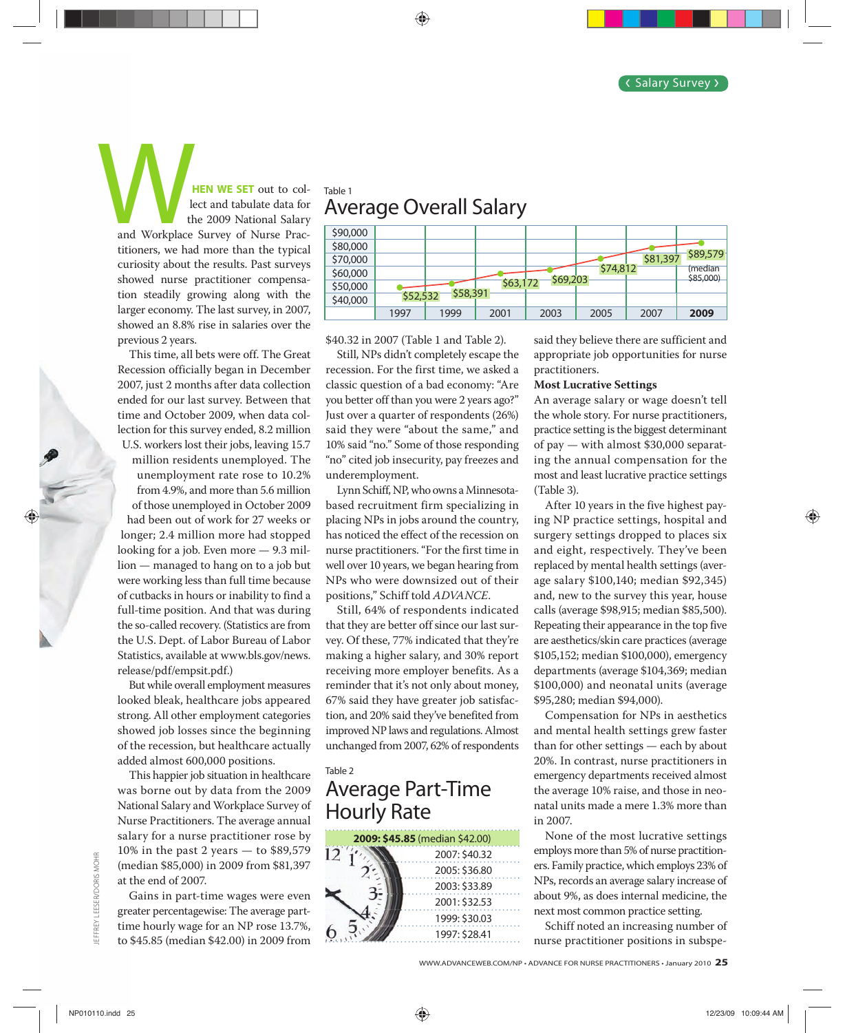**HEN WE SET out to col**lect and tabulate data for the 2009 National Salary and Workplace Survey of Nurse Prac-and titioners, we had more than the typical curiosity about the results. Past surveys cur showed nurse practitioner compensa-sho tion steadily growing along with the larger economy. The last survey, in 2007, lar showed an 8.8% rise in salaries over the sho previous 2 years. pre and Workplace

This time, all bets were off. The Great T Recession officially began in December Rec 2007, just 2 months after data collection 200 ended for our last survey. Between that end time and October 2009, when data col-tim lection for this survey ended, 8.2 million lec U.S. workers lost their jobs, leaving 15.7 U million residents unemployed. The unemployment rate rose to 10.2% from 4.9%, and more than 5.6 million of those unemployed in October 2009 had been out of work for 27 weeks or h longer; 2.4 million more had stopped lon looking for a job. Even more — 9.3 mil-loo lion — managed to hang on to a job but lion were working less than full time because we of cutbacks in hours or inability to find a of c full-time position. And that was during ful the so-called recovery. (Statistics are from the the U.S. Dept. of Labor Bureau of Labor the Statistics, available at www.bls.gov/news. Sta release/pdf/empsit.pdf.) rel

But while overall employment measures B looked bleak, healthcare jobs appeared loo strong. All other employment categories str showed job losses since the beginning sho of the recession, but healthcare actually t added almost 600,000 positions. add

This happier job situation in healthcare T was borne out by data from the 2009 wa National Salary and Workplace Survey of Na Nurse Practitioners. The average annual Nu salary for a nurse practitioner rose by sal 10% in the past 2 years — to \$89,579 10% (median \$85,000) in 2009 from \$81,397 (m at the end of 2007. t

Gains in part-time wages were even G greater percentagewise: The average part-gre time hourly wage for an NP rose 13.7%, tim to \$45.85 (median \$42.00) in 2009 from \$

## Table 1 Average Overall Salary



\$40.32 in 2007 (Table 1 and Table 2).

Still, NPs didn't completely escape the recession. For the first time, we asked a classic question of a bad economy: "Are you better off than you were 2 years ago?" Just over a quarter of respondents (26%) said they were "about the same," and 10% said "no." Some of those responding "no" cited job insecurity, pay freezes and underemployment.

Lynn Schiff, NP, who owns a Minnesotabased recruitment firm specializing in placing NPs in jobs around the country, has noticed the effect of the recession on nurse practitioners. "For the first time in well over 10 years, we began hearing from NPs who were downsized out of their positions," Schiff told *ADVANCE*.

Still, 64% of respondents indicated that they are better off since our last survey. Of these, 77% indicated that they're making a higher salary, and 30% report receiving more employer benefits. As a reminder that it's not only about money, 67% said they have greater job satisfaction, and 20% said they've benefited from improved NP laws and regulations. Almost unchanged from 2007, 62% of respondents

## Table 2

## Average Part-Time Hourly Rate

| 2009: \$45.85 (median \$42.00) |               |  |  |
|--------------------------------|---------------|--|--|
|                                | 2007: \$40.32 |  |  |
|                                | 2005: \$36.80 |  |  |
|                                | 2003: \$33.89 |  |  |
|                                | 2001: \$32.53 |  |  |
|                                | 1999: \$30.03 |  |  |
|                                | 1997: \$28.41 |  |  |

said they believe there are sufficient and appropriate job opportunities for nurse practitioners.

### **Most Lucrative Settings**

An average salary or wage doesn't tell the whole story. For nurse practitioners, practice setting is the biggest determinant of pay — with almost \$30,000 separating the annual compensation for the most and least lucrative practice settings (Table 3).

After 10 years in the five highest paying NP practice settings, hospital and surgery settings dropped to places six and eight, respectively. They've been replaced by mental health settings (average salary \$100,140; median \$92,345) and, new to the survey this year, house calls (average \$98,915; median \$85,500). Repeating their appearance in the top five are aesthetics/skin care practices (average \$105,152; median \$100,000), emergency departments (average \$104,369; median \$100,000) and neonatal units (average \$95,280; median \$94,000).

Compensation for NPs in aesthetics and mental health settings grew faster than for other settings — each by about 20%. In contrast, nurse practitioners in emergency departments received almost the average 10% raise, and those in neonatal units made a mere 1.3% more than in 2007.

None of the most lucrative settings employs more than 5% of nurse practitioners. Family practice, which employs 23% of NPs, records an average salary increase of about 9%, as does internal medicine, the next most common practice setting.

Schiff noted an increasing number of nurse practitioner positions in subspe-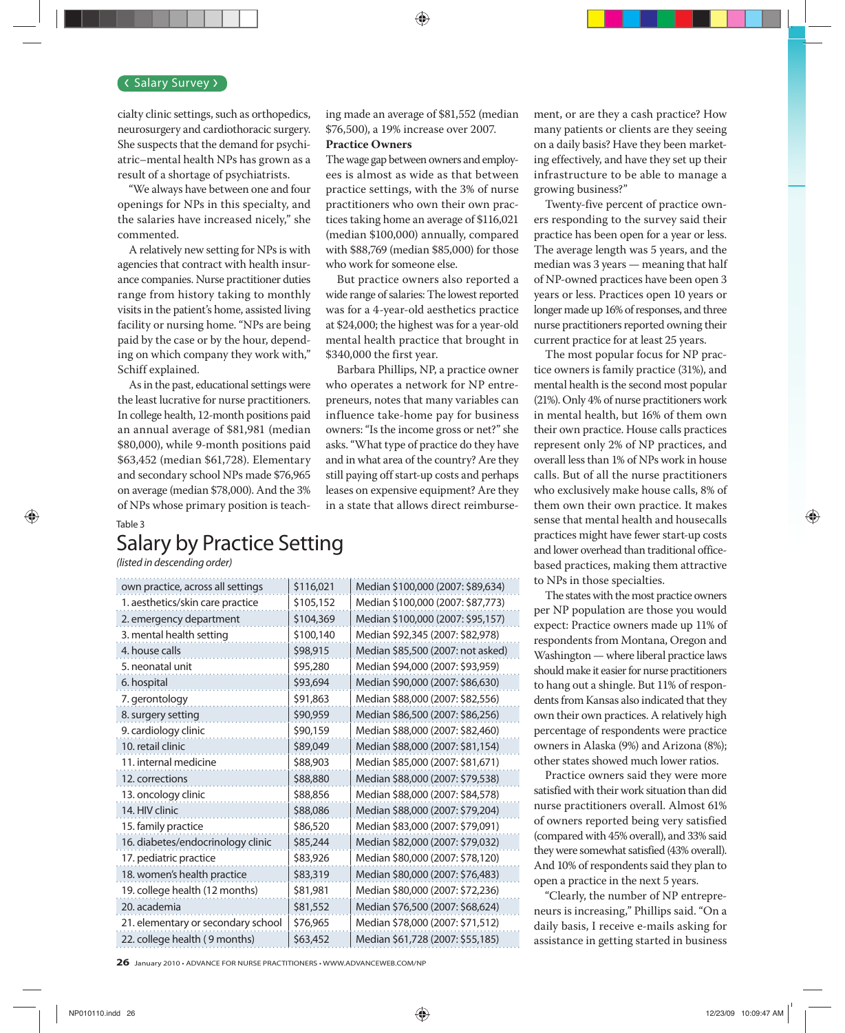#### Salary Survey >

cialty clinic settings, such as orthopedics, neurosurgery and cardiothoracic surgery. She suspects that the demand for psychiatric–mental health NPs has grown as a result of a shortage of psychiatrists.

"We always have between one and four openings for NPs in this specialty, and the salaries have increased nicely," she commented.

A relatively new setting for NPs is with agencies that contract with health insurance companies. Nurse practitioner duties range from history taking to monthly visits in the patient's home, assisted living facility or nursing home. "NPs are being paid by the case or by the hour, depending on which company they work with," Schiff explained.

As in the past, educational settings were the least lucrative for nurse practitioners. In college health, 12-month positions paid an annual average of \$81,981 (median \$80,000), while 9-month positions paid \$63,452 (median \$61,728). Elementary and secondary school NPs made \$76,965 on average (median \$78,000). And the 3% of NPs whose primary position is teaching made an average of \$81,552 (median \$76,500), a 19% increase over 2007.

#### **Practice Owners**

The wage gap between owners and employees is almost as wide as that between practice settings, with the 3% of nurse practitioners who own their own practices taking home an average of \$116,021 (median \$100,000) annually, compared with \$88,769 (median \$85,000) for those who work for someone else.

But practice owners also reported a wide range of salaries: The lowest reported was for a 4-year-old aesthetics practice at \$24,000; the highest was for a year-old mental health practice that brought in \$340,000 the first year.

Barbara Phillips, NP, a practice owner who operates a network for NP entrepreneurs, notes that many variables can influence take-home pay for business owners: "Is the income gross or net?" she asks. "What type of practice do they have and in what area of the country? Are they still paying off start-up costs and perhaps leases on expensive equipment? Are they in a state that allows direct reimbursement, or are they a cash practice? How many patients or clients are they seeing on a daily basis? Have they been marketing effectively, and have they set up their infrastructure to be able to manage a growing business?"

Twenty-five percent of practice owners responding to the survey said their practice has been open for a year or less. The average length was 5 years, and the median was 3 years — meaning that half of NP-owned practices have been open 3 years or less. Practices open 10 years or longer made up 16% of responses, and three nurse practitioners reported owning their current practice for at least 25 years.

The most popular focus for NP practice owners is family practice (31%), and mental health is the second most popular (21%). Only 4% of nurse practitioners work in mental health, but 16% of them own their own practice. House calls practices represent only 2% of NP practices, and overall less than 1% of NPs work in house calls. But of all the nurse practitioners who exclusively make house calls, 8% of them own their own practice. It makes sense that mental health and housecalls practices might have fewer start-up costs and lower overhead than traditional officebased practices, making them attractive to NPs in those specialties.

The states with the most practice owners per NP population are those you would expect: Practice owners made up 11% of respondents from Montana, Oregon and Washington — where liberal practice laws should make it easier for nurse practitioners to hang out a shingle. But 11% of respondents from Kansas also indicated that they own their own practices. A relatively high percentage of respondents were practice owners in Alaska (9%) and Arizona (8%); other states showed much lower ratios.

Practice owners said they were more satisfied with their work situation than did nurse practitioners overall. Almost 61% of owners reported being very satisfied (compared with 45% overall), and 33% said they were somewhat satisfied (43% overall). And 10% of respondents said they plan to open a practice in the next 5 years.

"Clearly, the number of NP entrepreneurs is increasing," Phillips said. "On a daily basis, I receive e-mails asking for assistance in getting started in business

# Salary by Practice Setting

(listed in descending order)

Table 3

| own practice, across all settings  | \$116,021 | Median \$100,000 (2007: \$89,634) |
|------------------------------------|-----------|-----------------------------------|
| 1. aesthetics/skin care practice   | \$105,152 | Median \$100,000 (2007: \$87,773) |
| 2. emergency department            | \$104,369 | Median \$100,000 (2007: \$95,157) |
| 3. mental health setting           | \$100,140 | Median \$92,345 (2007: \$82,978)  |
| 4. house calls                     | \$98,915  | Median \$85,500 (2007: not asked) |
| 5. neonatal unit                   | \$95,280  | Median \$94,000 (2007: \$93,959)  |
| 6. hospital                        | \$93,694  | Median \$90,000 (2007: \$86,630)  |
| 7. gerontology                     | \$91,863  | Median \$88,000 (2007: \$82,556)  |
| 8. surgery setting                 | \$90,959  | Median \$86,500 (2007: \$86,256)  |
| 9. cardiology clinic               | \$90,159  | Median \$88,000 (2007: \$82,460)  |
| 10. retail clinic                  | \$89,049  | Median \$88,000 (2007: \$81,154)  |
| 11. internal medicine              | \$88,903  | Median \$85,000 (2007: \$81,671)  |
| 12. corrections                    | \$88,880  | Median \$88,000 (2007: \$79,538)  |
| 13. oncology clinic                | \$88,856  | Median \$88,000 (2007: \$84,578)  |
| 14. HIV clinic                     | \$88,086  | Median \$88,000 (2007: \$79,204)  |
| 15. family practice                | \$86,520  | Median \$83,000 (2007: \$79,091)  |
| 16. diabetes/endocrinology clinic  | \$85,244  | Median \$82,000 (2007: \$79,032)  |
| 17. pediatric practice             | \$83,926  | Median \$80,000 (2007: \$78,120)  |
| 18. women's health practice        | \$83,319  | Median \$80,000 (2007: \$76,483)  |
| 19. college health (12 months)     | \$81,981  | Median \$80,000 (2007: \$72,236)  |
| 20. academia                       | \$81,552  | Median \$76,500 (2007: \$68,624)  |
| 21. elementary or secondary school | \$76,965  | Median \$78,000 (2007: \$71,512)  |
| 22. college health (9 months)      | \$63,452  | Median \$61,728 (2007: \$55,185)  |
|                                    |           |                                   |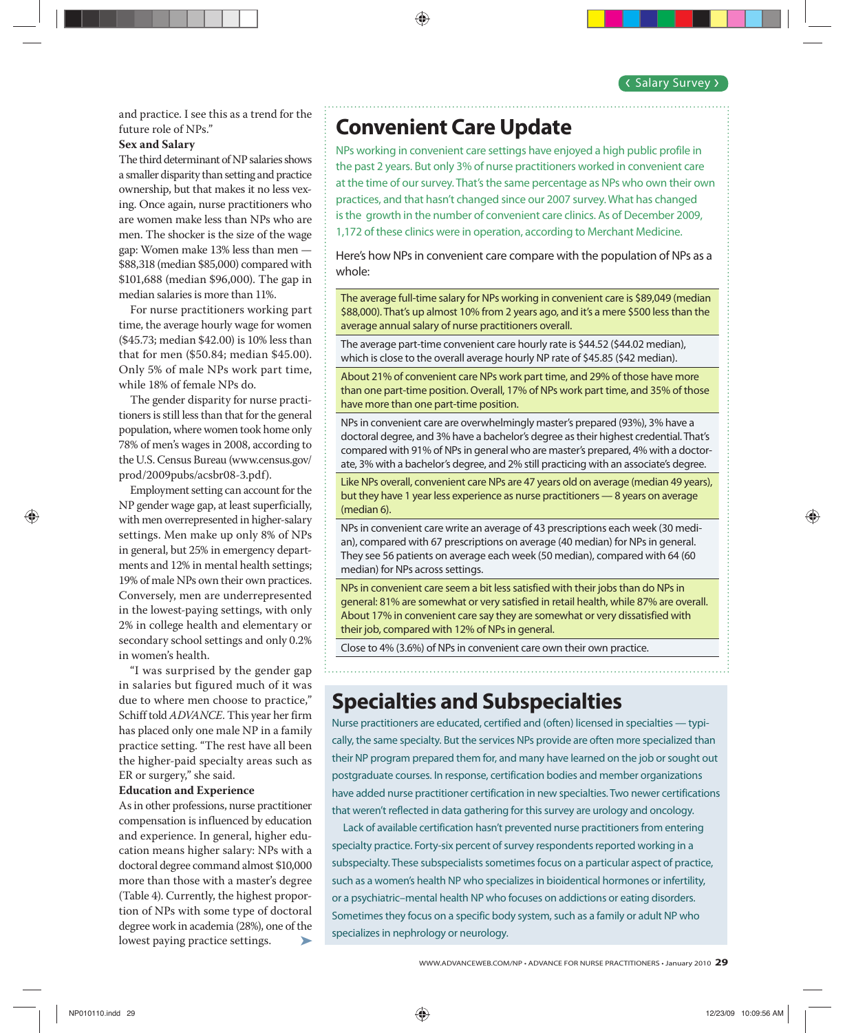and practice. I see this as a trend for the future role of NPs."

#### **Sex and Salary**

The third determinant of NP salaries shows a smaller disparity than setting and practice ownership, but that makes it no less vexing. Once again, nurse practitioners who are women make less than NPs who are men. The shocker is the size of the wage gap: Women make 13% less than men — \$88,318 (median \$85,000) compared with \$101,688 (median \$96,000). The gap in median salaries is more than 11%.

For nurse practitioners working part time, the average hourly wage for women (\$45.73; median \$42.00) is 10% less than that for men (\$50.84; median \$45.00). Only 5% of male NPs work part time, while 18% of female NPs do.

The gender disparity for nurse practitioners is still less than that for the general population, where women took home only 78% of men's wages in 2008, according to the U.S. Census Bureau (www.census.gov/ prod/2009pubs/acsbr08-3.pdf).

Employment setting can account for the NP gender wage gap, at least superficially, with men overrepresented in higher-salary settings. Men make up only 8% of NPs in general, but 25% in emergency departments and 12% in mental health settings; 19% of male NPs own their own practices. Conversely, men are underrepresented in the lowest-paying settings, with only 2% in college health and elementary or secondary school settings and only 0.2% in women's health.

"I was surprised by the gender gap in salaries but figured much of it was due to where men choose to practice," Schiff told *ADVANCE*. This year her firm has placed only one male NP in a family practice setting. "The rest have all been the higher-paid specialty areas such as ER or surgery," she said.

#### **Education and Experience**

As in other professions, nurse practitioner compensation is influenced by education and experience. In general, higher education means higher salary: NPs with a doctoral degree command almost \$10,000 more than those with a master's degree (Table 4). Currently, the highest proportion of NPs with some type of doctoral degree work in academia (28%), one of the lowest paying practice settings. ➤

## **Convenient Care Update**

NPs working in convenient care settings have enjoyed a high public profile in the past 2 years. But only 3% of nurse practitioners worked in convenient care at the time of our survey. That's the same percentage as NPs who own their own practices, and that hasn't changed since our 2007 survey. What has changed is the growth in the number of convenient care clinics. As of December 2009, 1,172 of these clinics were in operation, according to Merchant Medicine.

Here's how NPs in convenient care compare with the population of NPs as a whole:

The average full-time salary for NPs working in convenient care is \$89,049 (median \$88,000). That's up almost 10% from 2 years ago, and it's a mere \$500 less than the average annual salary of nurse practitioners overall.

The average part-time convenient care hourly rate is \$44.52 (\$44.02 median), which is close to the overall average hourly NP rate of \$45.85 (\$42 median).

About 21% of convenient care NPs work part time, and 29% of those have more than one part-time position. Overall, 17% of NPs work part time, and 35% of those have more than one part-time position.

NPs in convenient care are overwhelmingly master's prepared (93%), 3% have a doctoral degree, and 3% have a bachelor's degree as their highest credential. That's compared with 91% of NPs in general who are master's prepared, 4% with a doctorate, 3% with a bachelor's degree, and 2% still practicing with an associate's degree.

Like NPs overall, convenient care NPs are 47 years old on average (median 49 years), but they have 1 year less experience as nurse practitioners — 8 years on average (median 6).

NPs in convenient care write an average of 43 prescriptions each week (30 median), compared with 67 prescriptions on average (40 median) for NPs in general. They see 56 patients on average each week (50 median), compared with 64 (60 median) for NPs across settings.

NPs in convenient care seem a bit less satisfied with their jobs than do NPs in general: 81% are somewhat or very satisfied in retail health, while 87% are overall. About 17% in convenient care say they are somewhat or very dissatisfied with their job, compared with 12% of NPs in general.

Close to 4% (3.6%) of NPs in convenient care own their own practice.

# **Specialties and Subspecialties**

Nurse practitioners are educated, certified and (often) licensed in specialties — typically, the same specialty. But the services NPs provide are often more specialized than their NP program prepared them for, and many have learned on the job or sought out postgraduate courses. In response, certification bodies and member organizations have added nurse practitioner certification in new specialties. Two newer certifications that weren't reflected in data gathering for this survey are urology and oncology.

Lack of available certification hasn't prevented nurse practitioners from entering specialty practice. Forty-six percent of survey respondents reported working in a subspecialty. These subspecialists sometimes focus on a particular aspect of practice, such as a women's health NP who specializes in bioidentical hormones or infertility, or a psychiatric–mental health NP who focuses on addictions or eating disorders. Sometimes they focus on a specific body system, such as a family or adult NP who specializes in nephrology or neurology.